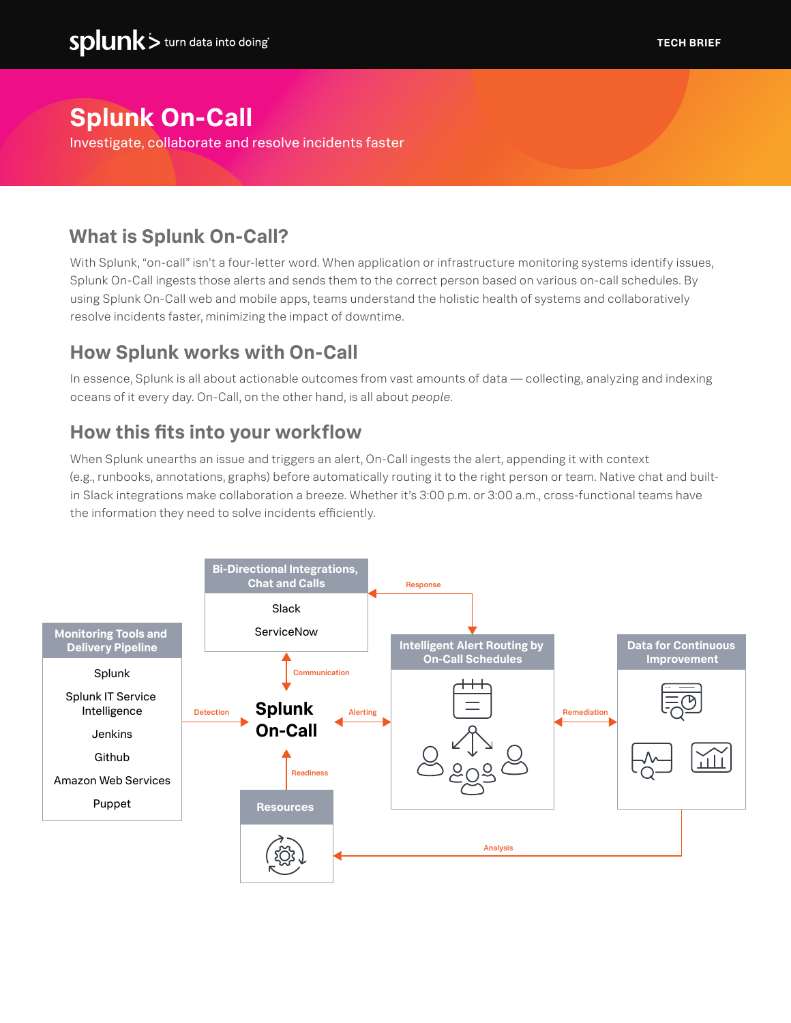# **Splunk On-Call**

Investigate, collaborate and resolve incidents faster

## **What is Splunk On-Call?**

With Splunk, "on-call" isn't a four-letter word. When application or infrastructure monitoring systems identify issues, Splunk On-Call ingests those alerts and sends them to the correct person based on various on-call schedules. By using Splunk On-Call web and mobile apps, teams understand the holistic health of systems and collaboratively resolve incidents faster, minimizing the impact of downtime.

### **How Splunk works with On-Call**

In essence, Splunk is all about actionable outcomes from vast amounts of data — collecting, analyzing and indexing oceans of it every day. On-Call, on the other hand, is all about *people*.

### **How this fits into your workflow**

When Splunk unearths an issue and triggers an alert, On-Call ingests the alert, appending it with context (e.g., runbooks, annotations, graphs) before automatically routing it to the right person or team. Native chat and builtin Slack integrations make collaboration a breeze. Whether it's 3:00 p.m. or 3:00 a.m., cross-functional teams have the information they need to solve incidents efficiently.